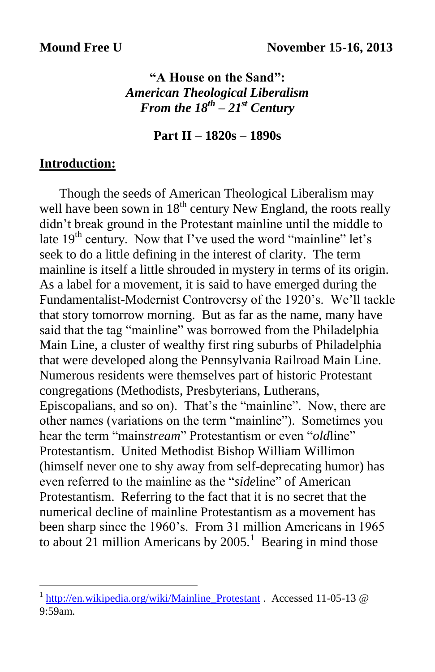# **"A House on the Sand":** *American Theological Liberalism From the 18th – 21st Century*

**Part II – 1820s – 1890s**

### **Introduction:**

 Though the seeds of American Theological Liberalism may well have been sown in 18<sup>th</sup> century New England, the roots really didn't break ground in the Protestant mainline until the middle to late  $19<sup>th</sup>$  century. Now that I've used the word "mainline" let's seek to do a little defining in the interest of clarity. The term mainline is itself a little shrouded in mystery in terms of its origin. As a label for a movement, it is said to have emerged during the Fundamentalist-Modernist Controversy of the 1920's. We'll tackle that story tomorrow morning. But as far as the name, many have said that the tag "mainline" was borrowed from the Philadelphia Main Line, a cluster of wealthy first ring suburbs of Philadelphia that were developed along the Pennsylvania Railroad Main Line. Numerous residents were themselves part of historic Protestant congregations (Methodists, Presbyterians, Lutherans, Episcopalians, and so on). That's the "mainline". Now, there are other names (variations on the term "mainline"). Sometimes you hear the term "main*stream*" Protestantism or even "*old*line" Protestantism. United Methodist Bishop William Willimon (himself never one to shy away from self-deprecating humor) has even referred to the mainline as the "*side*line" of American Protestantism. Referring to the fact that it is no secret that the numerical decline of mainline Protestantism as a movement has been sharp since the 1960's. From 31 million Americans in 1965 to about 21 million Americans by  $2005$ .<sup>1</sup> Bearing in mind those

<sup>&</sup>lt;sup>1</sup> [http://en.wikipedia.org/wiki/Mainline\\_Protestant](http://en.wikipedia.org/wiki/Mainline_Protestant) . Accessed 11-05-13 @ 9:59am.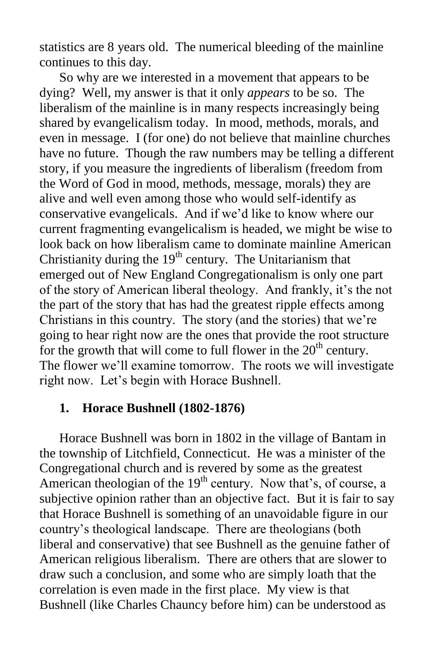statistics are 8 years old. The numerical bleeding of the mainline continues to this day.

 So why are we interested in a movement that appears to be dying? Well, my answer is that it only *appears* to be so. The liberalism of the mainline is in many respects increasingly being shared by evangelicalism today. In mood, methods, morals, and even in message. I (for one) do not believe that mainline churches have no future. Though the raw numbers may be telling a different story, if you measure the ingredients of liberalism (freedom from the Word of God in mood, methods, message, morals) they are alive and well even among those who would self-identify as conservative evangelicals. And if we'd like to know where our current fragmenting evangelicalism is headed, we might be wise to look back on how liberalism came to dominate mainline American Christianity during the  $19<sup>th</sup>$  century. The Unitarianism that emerged out of New England Congregationalism is only one part of the story of American liberal theology. And frankly, it's the not the part of the story that has had the greatest ripple effects among Christians in this country. The story (and the stories) that we're going to hear right now are the ones that provide the root structure for the growth that will come to full flower in the  $20<sup>th</sup>$  century. The flower we'll examine tomorrow. The roots we will investigate right now. Let's begin with Horace Bushnell.

### **1. Horace Bushnell (1802-1876)**

 Horace Bushnell was born in 1802 in the village of Bantam in the township of Litchfield, Connecticut. He was a minister of the Congregational church and is revered by some as the greatest American theologian of the  $19<sup>th</sup>$  century. Now that's, of course, a subjective opinion rather than an objective fact. But it is fair to say that Horace Bushnell is something of an unavoidable figure in our country's theological landscape. There are theologians (both liberal and conservative) that see Bushnell as the genuine father of American religious liberalism. There are others that are slower to draw such a conclusion, and some who are simply loath that the correlation is even made in the first place. My view is that Bushnell (like Charles Chauncy before him) can be understood as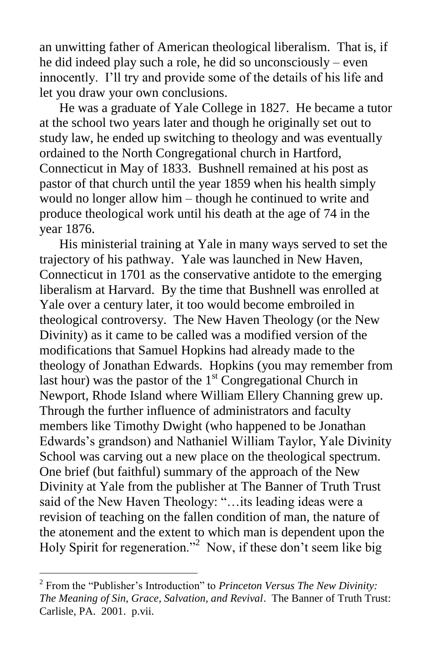an unwitting father of American theological liberalism. That is, if he did indeed play such a role, he did so unconsciously – even innocently. I'll try and provide some of the details of his life and let you draw your own conclusions.

 He was a graduate of Yale College in 1827. He became a tutor at the school two years later and though he originally set out to study law, he ended up switching to theology and was eventually ordained to the North Congregational church in Hartford, Connecticut in May of 1833. Bushnell remained at his post as pastor of that church until the year 1859 when his health simply would no longer allow him – though he continued to write and produce theological work until his death at the age of 74 in the year 1876.

 His ministerial training at Yale in many ways served to set the trajectory of his pathway. Yale was launched in New Haven, Connecticut in 1701 as the conservative antidote to the emerging liberalism at Harvard. By the time that Bushnell was enrolled at Yale over a century later, it too would become embroiled in theological controversy. The New Haven Theology (or the New Divinity) as it came to be called was a modified version of the modifications that Samuel Hopkins had already made to the theology of Jonathan Edwards. Hopkins (you may remember from last hour) was the pastor of the  $1<sup>st</sup>$  Congregational Church in Newport, Rhode Island where William Ellery Channing grew up. Through the further influence of administrators and faculty members like Timothy Dwight (who happened to be Jonathan Edwards's grandson) and Nathaniel William Taylor, Yale Divinity School was carving out a new place on the theological spectrum. One brief (but faithful) summary of the approach of the New Divinity at Yale from the publisher at The Banner of Truth Trust said of the New Haven Theology: "…its leading ideas were a revision of teaching on the fallen condition of man, the nature of the atonement and the extent to which man is dependent upon the Holy Spirit for regeneration."<sup>2</sup> Now, if these don't seem like big

<sup>2</sup> From the "Publisher's Introduction" to *Princeton Versus The New Divinity: The Meaning of Sin, Grace, Salvation, and Revival*. The Banner of Truth Trust: Carlisle, PA. 2001. p.vii.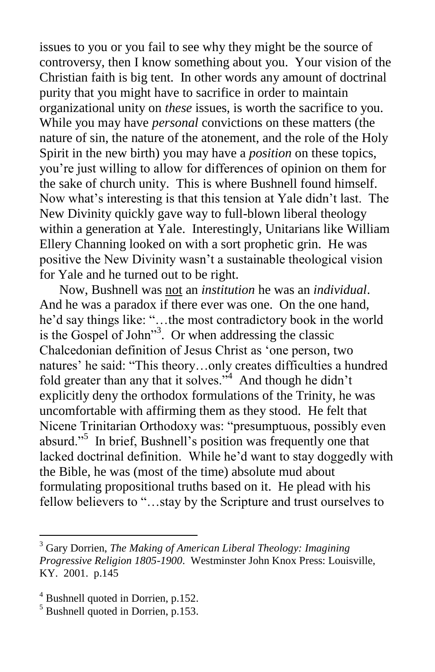issues to you or you fail to see why they might be the source of controversy, then I know something about you. Your vision of the Christian faith is big tent. In other words any amount of doctrinal purity that you might have to sacrifice in order to maintain organizational unity on *these* issues, is worth the sacrifice to you. While you may have *personal* convictions on these matters (the nature of sin, the nature of the atonement, and the role of the Holy Spirit in the new birth) you may have a *position* on these topics, you're just willing to allow for differences of opinion on them for the sake of church unity. This is where Bushnell found himself. Now what's interesting is that this tension at Yale didn't last. The New Divinity quickly gave way to full-blown liberal theology within a generation at Yale. Interestingly, Unitarians like William Ellery Channing looked on with a sort prophetic grin. He was positive the New Divinity wasn't a sustainable theological vision for Yale and he turned out to be right.

 Now, Bushnell was not an *institution* he was an *individual*. And he was a paradox if there ever was one. On the one hand, he'd say things like: "…the most contradictory book in the world is the Gospel of John"<sup>3</sup> . Or when addressing the classic Chalcedonian definition of Jesus Christ as 'one person, two natures' he said: "This theory…only creates difficulties a hundred fold greater than any that it solves.<sup> $34$ </sup> And though he didn't explicitly deny the orthodox formulations of the Trinity, he was uncomfortable with affirming them as they stood. He felt that Nicene Trinitarian Orthodoxy was: "presumptuous, possibly even absurd."<sup>5</sup> In brief, Bushnell's position was frequently one that lacked doctrinal definition. While he'd want to stay doggedly with the Bible, he was (most of the time) absolute mud about formulating propositional truths based on it. He plead with his fellow believers to "…stay by the Scripture and trust ourselves to

<sup>3</sup> Gary Dorrien, *The Making of American Liberal Theology: Imagining Progressive Religion 1805-1900*. Westminster John Knox Press: Louisville, KY. 2001. p.145

<sup>4</sup> Bushnell quoted in Dorrien, p.152.

 $<sup>5</sup>$  Bushnell quoted in Dorrien, p.153.</sup>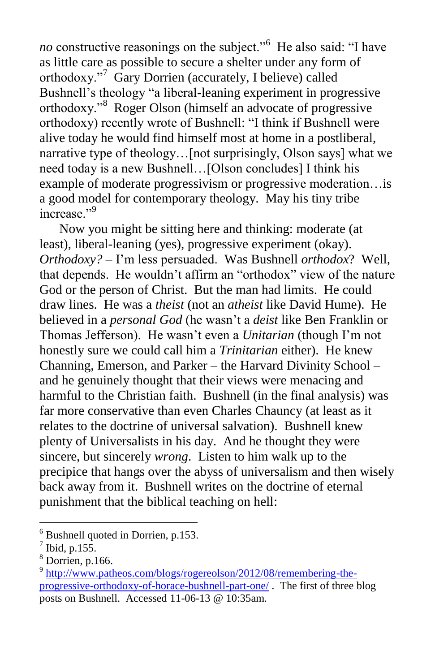no constructive reasonings on the subject."<sup>6</sup> He also said: "I have as little care as possible to secure a shelter under any form of orthodoxy."<sup>7</sup> Gary Dorrien (accurately, I believe) called Bushnell's theology "a liberal-leaning experiment in progressive orthodoxy."<sup>8</sup> Roger Olson (himself an advocate of progressive orthodoxy) recently wrote of Bushnell: "I think if Bushnell were alive today he would find himself most at home in a postliberal, narrative type of theology…[not surprisingly, Olson says] what we need today is a new Bushnell…[Olson concludes] I think his example of moderate progressivism or progressive moderation…is a good model for contemporary theology. May his tiny tribe increase."<sup>9</sup>

 Now you might be sitting here and thinking: moderate (at least), liberal-leaning (yes), progressive experiment (okay). *Orthodoxy?* – I'm less persuaded. Was Bushnell *orthodox*? Well, that depends. He wouldn't affirm an "orthodox" view of the nature God or the person of Christ. But the man had limits. He could draw lines. He was a *theist* (not an *atheist* like David Hume). He believed in a *personal God* (he wasn't a *deist* like Ben Franklin or Thomas Jefferson). He wasn't even a *Unitarian* (though I'm not honestly sure we could call him a *Trinitarian* either). He knew Channing, Emerson, and Parker – the Harvard Divinity School – and he genuinely thought that their views were menacing and harmful to the Christian faith. Bushnell (in the final analysis) was far more conservative than even Charles Chauncy (at least as it relates to the doctrine of universal salvation). Bushnell knew plenty of Universalists in his day. And he thought they were sincere, but sincerely *wrong*. Listen to him walk up to the precipice that hangs over the abyss of universalism and then wisely back away from it. Bushnell writes on the doctrine of eternal punishment that the biblical teaching on hell:

 $6$  Bushnell quoted in Dorrien, p.153.

 $<sup>7</sup>$  Ibid, p.155.</sup>

 $8$  Dorrien, p.166.

<sup>&</sup>lt;sup>9</sup> [http://www.patheos.com/blogs/rogereolson/2012/08/remembering-the](http://www.patheos.com/blogs/rogereolson/2012/08/remembering-the-progressive-orthodoxy-of-horace-bushnell-part-one/)[progressive-orthodoxy-of-horace-bushnell-part-one/](http://www.patheos.com/blogs/rogereolson/2012/08/remembering-the-progressive-orthodoxy-of-horace-bushnell-part-one/) . The first of three blog posts on Bushnell. Accessed 11-06-13 @ 10:35am.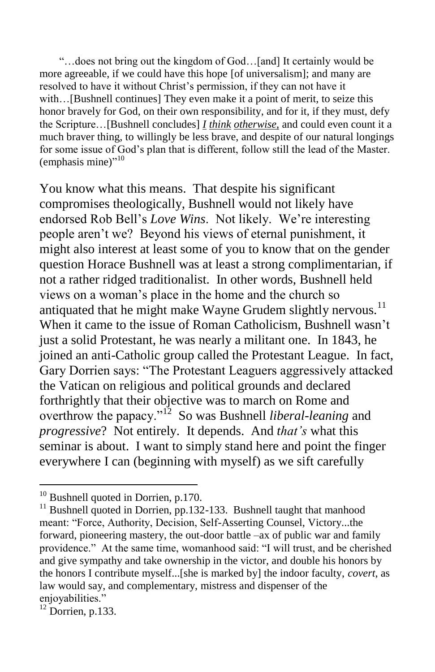"…does not bring out the kingdom of God…[and] It certainly would be more agreeable, if we could have this hope [of universalism]; and many are resolved to have it without Christ's permission, if they can not have it with...[Bushnell continues] They even make it a point of merit, to seize this honor bravely for God, on their own responsibility, and for it, if they must, defy the Scripture…[Bushnell concludes] *I think otherwise*, and could even count it a much braver thing, to willingly be less brave, and despite of our natural longings for some issue of God's plan that is different, follow still the lead of the Master. (emphasis mine)"<sup>10</sup>

You know what this means. That despite his significant compromises theologically, Bushnell would not likely have endorsed Rob Bell's *Love Wins*. Not likely. We're interesting people aren't we? Beyond his views of eternal punishment, it might also interest at least some of you to know that on the gender question Horace Bushnell was at least a strong complimentarian, if not a rather ridged traditionalist. In other words, Bushnell held views on a woman's place in the home and the church so antiquated that he might make Wayne Grudem slightly nervous.<sup>11</sup> When it came to the issue of Roman Catholicism, Bushnell wasn't just a solid Protestant, he was nearly a militant one. In 1843, he joined an anti-Catholic group called the Protestant League. In fact, Gary Dorrien says: "The Protestant Leaguers aggressively attacked the Vatican on religious and political grounds and declared forthrightly that their objective was to march on Rome and overthrow the papacy."<sup>12</sup> So was Bushnell *liberal-leaning* and *progressive*? Not entirely. It depends. And *that's* what this seminar is about. I want to simply stand here and point the finger everywhere I can (beginning with myself) as we sift carefully

 $10$  Bushnell quoted in Dorrien, p.170.

<sup>&</sup>lt;sup>11</sup> Bushnell quoted in Dorrien, pp.132-133. Bushnell taught that manhood meant: "Force, Authority, Decision, Self-Asserting Counsel, Victory...the forward, pioneering mastery, the out-door battle –ax of public war and family providence." At the same time, womanhood said: "I will trust, and be cherished and give sympathy and take ownership in the victor, and double his honors by the honors I contribute myself...[she is marked by] the indoor faculty, *covert*, as law would say, and complementary, mistress and dispenser of the enjoyabilities."

 $12$  Dorrien, p.133.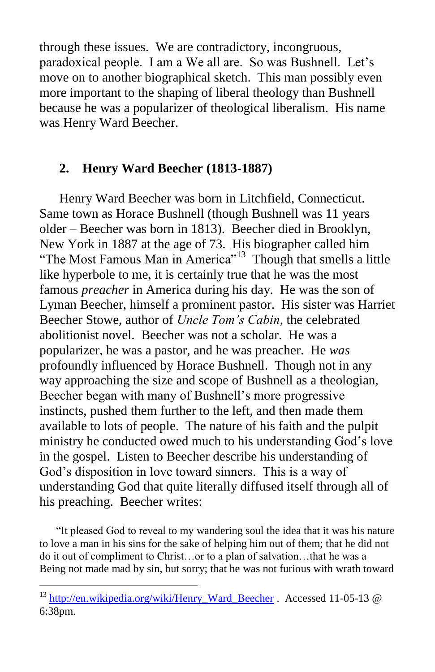through these issues. We are contradictory, incongruous, paradoxical people. I am a We all are. So was Bushnell. Let's move on to another biographical sketch. This man possibly even more important to the shaping of liberal theology than Bushnell because he was a popularizer of theological liberalism. His name was Henry Ward Beecher.

# **2. Henry Ward Beecher (1813-1887)**

Henry Ward Beecher was born in Litchfield, Connecticut. Same town as Horace Bushnell (though Bushnell was 11 years older – Beecher was born in 1813). Beecher died in Brooklyn, New York in 1887 at the age of 73. His biographer called him "The Most Famous Man in America"<sup>13</sup> Though that smells a little like hyperbole to me, it is certainly true that he was the most famous *preacher* in America during his day. He was the son of Lyman Beecher, himself a prominent pastor. His sister was Harriet Beecher Stowe, author of *Uncle Tom's Cabin*, the celebrated abolitionist novel. Beecher was not a scholar. He was a popularizer, he was a pastor, and he was preacher. He *was* profoundly influenced by Horace Bushnell. Though not in any way approaching the size and scope of Bushnell as a theologian, Beecher began with many of Bushnell's more progressive instincts, pushed them further to the left, and then made them available to lots of people. The nature of his faith and the pulpit ministry he conducted owed much to his understanding God's love in the gospel. Listen to Beecher describe his understanding of God's disposition in love toward sinners. This is a way of understanding God that quite literally diffused itself through all of his preaching. Beecher writes:

 "It pleased God to reveal to my wandering soul the idea that it was his nature to love a man in his sins for the sake of helping him out of them; that he did not do it out of compliment to Christ…or to a plan of salvation…that he was a Being not made mad by sin, but sorry; that he was not furious with wrath toward

<sup>&</sup>lt;sup>13</sup> [http://en.wikipedia.org/wiki/Henry\\_Ward\\_Beecher](http://en.wikipedia.org/wiki/Henry_Ward_Beecher) . Accessed 11-05-13 @ 6:38pm.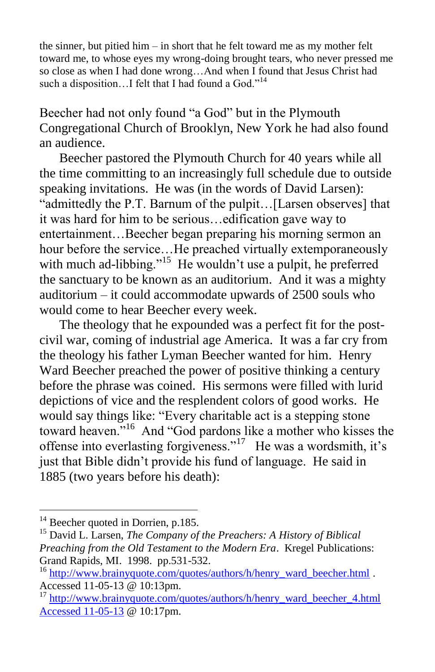the sinner, but pitied him – in short that he felt toward me as my mother felt toward me, to whose eyes my wrong-doing brought tears, who never pressed me so close as when I had done wrong…And when I found that Jesus Christ had such a disposition...I felt that I had found a God."<sup>14</sup>

Beecher had not only found "a God" but in the Plymouth Congregational Church of Brooklyn, New York he had also found an audience.

 Beecher pastored the Plymouth Church for 40 years while all the time committing to an increasingly full schedule due to outside speaking invitations. He was (in the words of David Larsen): "admittedly the P.T. Barnum of the pulpit…[Larsen observes] that it was hard for him to be serious…edification gave way to entertainment…Beecher began preparing his morning sermon an hour before the service...He preached virtually extemporaneously with much ad-libbing."<sup>15</sup> He wouldn't use a pulpit, he preferred the sanctuary to be known as an auditorium. And it was a mighty auditorium – it could accommodate upwards of 2500 souls who would come to hear Beecher every week.

 The theology that he expounded was a perfect fit for the postcivil war, coming of industrial age America. It was a far cry from the theology his father Lyman Beecher wanted for him. Henry Ward Beecher preached the power of positive thinking a century before the phrase was coined. His sermons were filled with lurid depictions of vice and the resplendent colors of good works. He would say things like: "Every charitable act is a stepping stone toward heaven."<sup>16</sup> And "God pardons like a mother who kisses the offense into everlasting forgiveness."<sup>17</sup> He was a wordsmith, it's just that Bible didn't provide his fund of language. He said in 1885 (two years before his death):

<sup>&</sup>lt;sup>14</sup> Beecher quoted in Dorrien, p.185.

<sup>15</sup> David L. Larsen, *The Company of the Preachers: A History of Biblical Preaching from the Old Testament to the Modern Era*. Kregel Publications: Grand Rapids, MI. 1998. pp.531-532.

<sup>&</sup>lt;sup>16</sup> [http://www.brainyquote.com/quotes/authors/h/henry\\_ward\\_beecher.html](http://www.brainyquote.com/quotes/authors/h/henry_ward_beecher.html) . Accessed 11-05-13 @ 10:13pm.

<sup>&</sup>lt;sup>17</sup> http://www.brainyquote.com/quotes/authors/h/henry\_ward\_beecher\_4.html [Accessed 11-05-13](http://www.brainyquote.com/quotes/authors/h/henry_ward_beecher_4.html%20Accessed%2011-05-13) @ 10:17pm.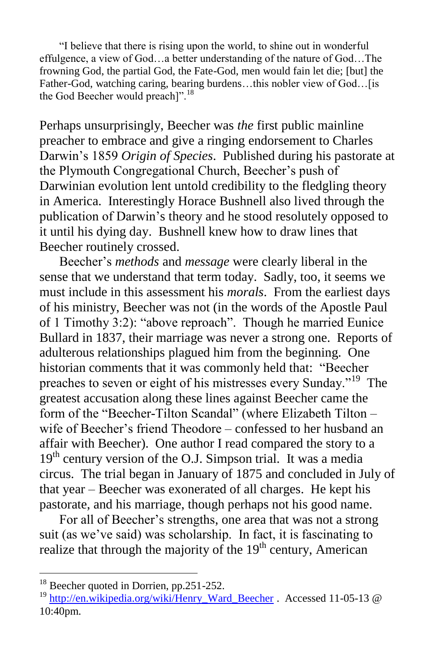"I believe that there is rising upon the world, to shine out in wonderful effulgence, a view of God…a better understanding of the nature of God…The frowning God, the partial God, the Fate-God, men would fain let die; [but] the Father-God, watching caring, bearing burdens...this nobler view of God... [is the God Beecher would preachl".<sup>18</sup>

Perhaps unsurprisingly, Beecher was *the* first public mainline preacher to embrace and give a ringing endorsement to Charles Darwin's 1859 *Origin of Species*. Published during his pastorate at the Plymouth Congregational Church, Beecher's push of Darwinian evolution lent untold credibility to the fledgling theory in America. Interestingly Horace Bushnell also lived through the publication of Darwin's theory and he stood resolutely opposed to it until his dying day. Bushnell knew how to draw lines that Beecher routinely crossed.

 Beecher's *methods* and *message* were clearly liberal in the sense that we understand that term today. Sadly, too, it seems we must include in this assessment his *morals*. From the earliest days of his ministry, Beecher was not (in the words of the Apostle Paul of 1 Timothy 3:2): "above reproach". Though he married Eunice Bullard in 1837, their marriage was never a strong one. Reports of adulterous relationships plagued him from the beginning. One historian comments that it was commonly held that: "Beecher preaches to seven or eight of his mistresses every Sunday."<sup>19</sup> The greatest accusation along these lines against Beecher came the form of the "Beecher-Tilton Scandal" (where Elizabeth Tilton – wife of Beecher's friend Theodore – confessed to her husband an affair with Beecher). One author I read compared the story to a  $19<sup>th</sup>$  century version of the O.J. Simpson trial. It was a media circus. The trial began in January of 1875 and concluded in July of that year – Beecher was exonerated of all charges. He kept his pastorate, and his marriage, though perhaps not his good name.

 For all of Beecher's strengths, one area that was not a strong suit (as we've said) was scholarship. In fact, it is fascinating to realize that through the majority of the  $19<sup>th</sup>$  century, American

 $18$  Beecher quoted in Dorrien, pp. 251-252.

<sup>&</sup>lt;sup>19</sup> [http://en.wikipedia.org/wiki/Henry\\_Ward\\_Beecher](http://en.wikipedia.org/wiki/Henry_Ward_Beecher) . Accessed 11-05-13 @ 10:40pm.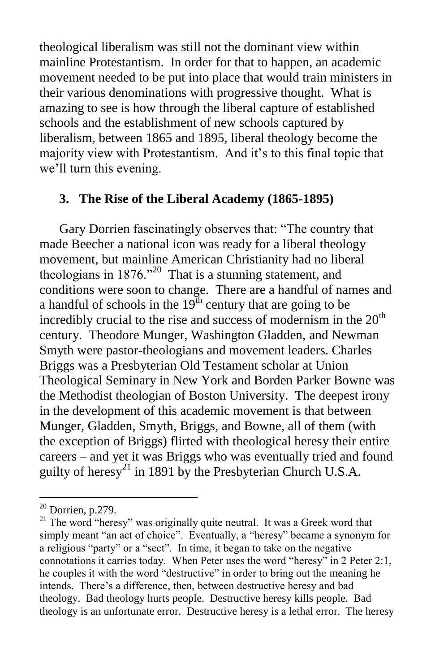theological liberalism was still not the dominant view within mainline Protestantism. In order for that to happen, an academic movement needed to be put into place that would train ministers in their various denominations with progressive thought. What is amazing to see is how through the liberal capture of established schools and the establishment of new schools captured by liberalism, between 1865 and 1895, liberal theology become the majority view with Protestantism. And it's to this final topic that we'll turn this evening.

### **3. The Rise of the Liberal Academy (1865-1895)**

 Gary Dorrien fascinatingly observes that: "The country that made Beecher a national icon was ready for a liberal theology movement, but mainline American Christianity had no liberal theologians in  $1876.^{20}$  That is a stunning statement, and conditions were soon to change. There are a handful of names and a handful of schools in the  $19<sup>th</sup>$  century that are going to be incredibly crucial to the rise and success of modernism in the  $20<sup>th</sup>$ century. Theodore Munger, Washington Gladden, and Newman Smyth were pastor-theologians and movement leaders. Charles Briggs was a Presbyterian Old Testament scholar at Union Theological Seminary in New York and Borden Parker Bowne was the Methodist theologian of Boston University. The deepest irony in the development of this academic movement is that between Munger, Gladden, Smyth, Briggs, and Bowne, all of them (with the exception of Briggs) flirted with theological heresy their entire careers – and yet it was Briggs who was eventually tried and found guilty of heresy<sup>21</sup> in 1891 by the Presbyterian Church U.S.A.

 $20$  Dorrien, p.279.

<sup>&</sup>lt;sup>21</sup> The word "heresy" was originally quite neutral. It was a Greek word that simply meant "an act of choice". Eventually, a "heresy" became a synonym for a religious "party" or a "sect". In time, it began to take on the negative connotations it carries today. When Peter uses the word "heresy" in 2 Peter 2:1, he couples it with the word "destructive" in order to bring out the meaning he intends. There's a difference, then, between destructive heresy and bad theology. Bad theology hurts people. Destructive heresy kills people. Bad theology is an unfortunate error. Destructive heresy is a lethal error. The heresy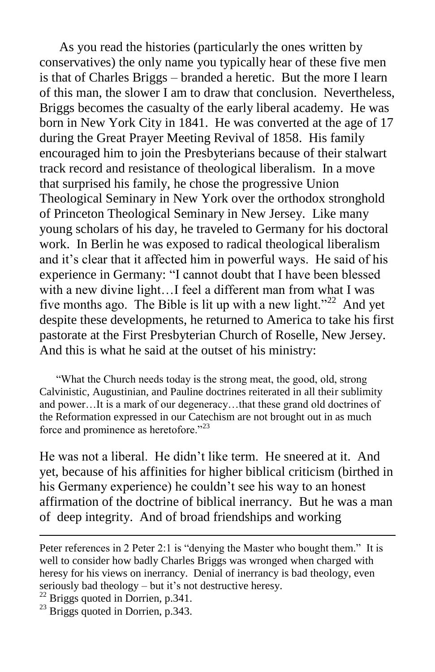As you read the histories (particularly the ones written by conservatives) the only name you typically hear of these five men is that of Charles Briggs – branded a heretic. But the more I learn of this man, the slower I am to draw that conclusion. Nevertheless, Briggs becomes the casualty of the early liberal academy. He was born in New York City in 1841. He was converted at the age of 17 during the Great Prayer Meeting Revival of 1858. His family encouraged him to join the Presbyterians because of their stalwart track record and resistance of theological liberalism. In a move that surprised his family, he chose the progressive Union Theological Seminary in New York over the orthodox stronghold of Princeton Theological Seminary in New Jersey. Like many young scholars of his day, he traveled to Germany for his doctoral work. In Berlin he was exposed to radical theological liberalism and it's clear that it affected him in powerful ways. He said of his experience in Germany: "I cannot doubt that I have been blessed with a new divine light...I feel a different man from what I was five months ago. The Bible is lit up with a new light."<sup>22</sup> And yet despite these developments, he returned to America to take his first pastorate at the First Presbyterian Church of Roselle, New Jersey. And this is what he said at the outset of his ministry:

 "What the Church needs today is the strong meat, the good, old, strong Calvinistic, Augustinian, and Pauline doctrines reiterated in all their sublimity and power…It is a mark of our degeneracy…that these grand old doctrines of the Reformation expressed in our Catechism are not brought out in as much force and prominence as heretofore."<sup>23</sup>

He was not a liberal. He didn't like term. He sneered at it. And yet, because of his affinities for higher biblical criticism (birthed in his Germany experience) he couldn't see his way to an honest affirmation of the doctrine of biblical inerrancy. But he was a man of deep integrity. And of broad friendships and working

Peter references in 2 Peter 2:1 is "denying the Master who bought them." It is well to consider how badly Charles Briggs was wronged when charged with heresy for his views on inerrancy. Denial of inerrancy is bad theology, even seriously bad theology – but it's not destructive heresy.

 $22$  Briggs quoted in Dorrien, p.341.

 $23$  Briggs quoted in Dorrien, p.343.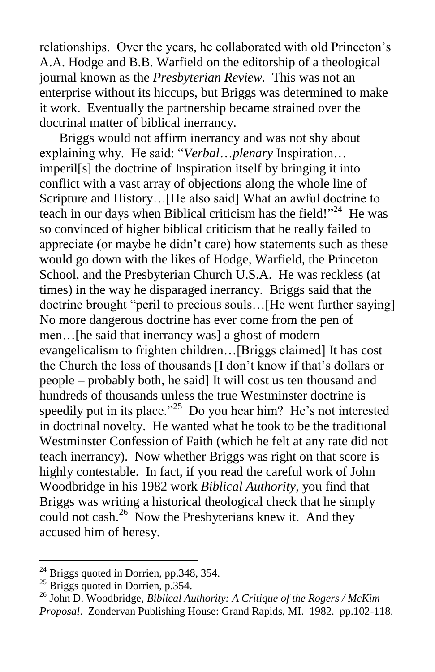relationships. Over the years, he collaborated with old Princeton's A.A. Hodge and B.B. Warfield on the editorship of a theological journal known as the *Presbyterian Review.* This was not an enterprise without its hiccups, but Briggs was determined to make it work. Eventually the partnership became strained over the doctrinal matter of biblical inerrancy.

 Briggs would not affirm inerrancy and was not shy about explaining why. He said: "*Verbal*…*plenary* Inspiration… imperil[s] the doctrine of Inspiration itself by bringing it into conflict with a vast array of objections along the whole line of Scripture and History…[He also said] What an awful doctrine to teach in our days when Biblical criticism has the field!"<sup>24</sup> He was so convinced of higher biblical criticism that he really failed to appreciate (or maybe he didn't care) how statements such as these would go down with the likes of Hodge, Warfield, the Princeton School, and the Presbyterian Church U.S.A. He was reckless (at times) in the way he disparaged inerrancy. Briggs said that the doctrine brought "peril to precious souls... [He went further saying] No more dangerous doctrine has ever come from the pen of men…[he said that inerrancy was] a ghost of modern evangelicalism to frighten children…[Briggs claimed] It has cost the Church the loss of thousands [I don't know if that's dollars or people – probably both, he said] It will cost us ten thousand and hundreds of thousands unless the true Westminster doctrine is speedily put in its place."<sup>25</sup> Do you hear him? He's not interested in doctrinal novelty. He wanted what he took to be the traditional Westminster Confession of Faith (which he felt at any rate did not teach inerrancy). Now whether Briggs was right on that score is highly contestable. In fact, if you read the careful work of John Woodbridge in his 1982 work *Biblical Authority*, you find that Briggs was writing a historical theological check that he simply could not cash.<sup>26</sup> Now the Presbyterians knew it. And they accused him of heresy.

 $^{24}$  Briggs quoted in Dorrien, pp. 348, 354.

 $^{25}$  Briggs quoted in Dorrien, p.354.

<sup>26</sup> John D. Woodbridge, *Biblical Authority: A Critique of the Rogers / McKim Proposal*. Zondervan Publishing House: Grand Rapids, MI. 1982. pp.102-118.